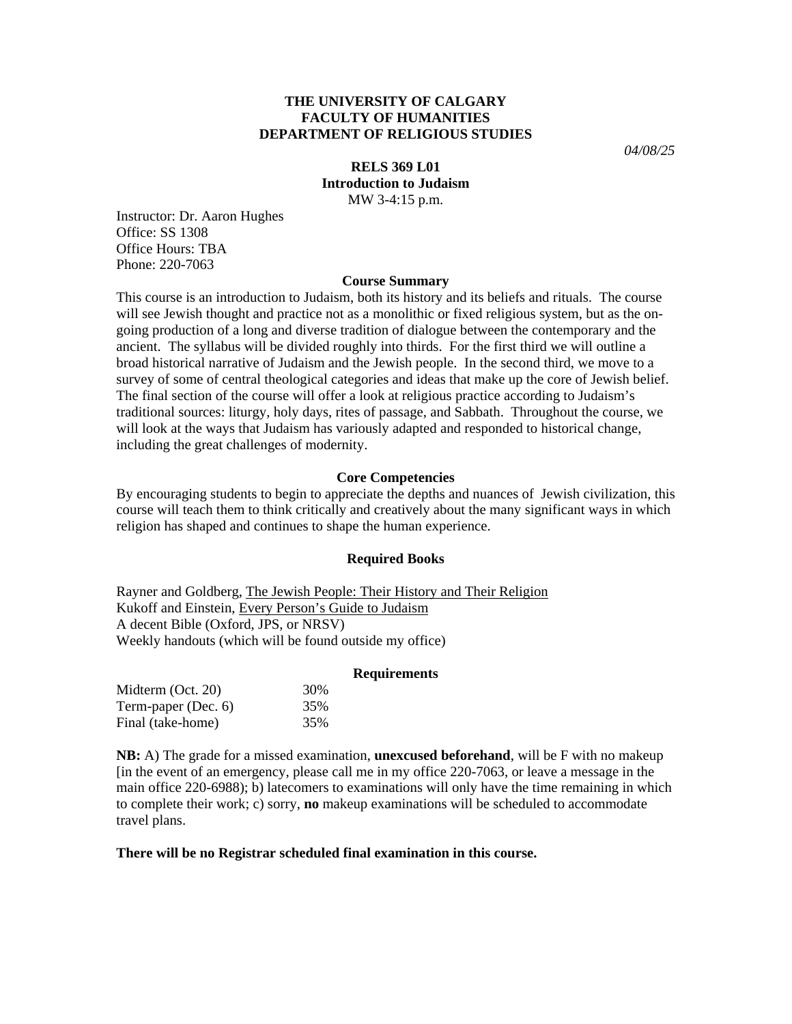# **THE UNIVERSITY OF CALGARY FACULTY OF HUMANITIES DEPARTMENT OF RELIGIOUS STUDIES**

*04/08/25* 

## **RELS 369 L01 Introduction to Judaism** MW 3-4:15 p.m.

Instructor: Dr. Aaron Hughes Office: SS 1308 Office Hours: TBA Phone: 220-7063

### **Course Summary**

This course is an introduction to Judaism, both its history and its beliefs and rituals. The course will see Jewish thought and practice not as a monolithic or fixed religious system, but as the ongoing production of a long and diverse tradition of dialogue between the contemporary and the ancient. The syllabus will be divided roughly into thirds. For the first third we will outline a broad historical narrative of Judaism and the Jewish people. In the second third, we move to a survey of some of central theological categories and ideas that make up the core of Jewish belief. The final section of the course will offer a look at religious practice according to Judaism's traditional sources: liturgy, holy days, rites of passage, and Sabbath. Throughout the course, we will look at the ways that Judaism has variously adapted and responded to historical change, including the great challenges of modernity.

## **Core Competencies**

By encouraging students to begin to appreciate the depths and nuances of Jewish civilization, this course will teach them to think critically and creatively about the many significant ways in which religion has shaped and continues to shape the human experience.

#### **Required Books**

Rayner and Goldberg, The Jewish People: Their History and Their Religion Kukoff and Einstein, Every Person's Guide to Judaism A decent Bible (Oxford, JPS, or NRSV) Weekly handouts (which will be found outside my office)

#### **Requirements**

| Midterm (Oct. 20)   | 30% |
|---------------------|-----|
| Term-paper (Dec. 6) | 35% |
| Final (take-home)   | 35% |

**NB:** A) The grade for a missed examination, **unexcused beforehand**, will be F with no makeup [in the event of an emergency, please call me in my office 220-7063, or leave a message in the main office 220-6988); b) latecomers to examinations will only have the time remaining in which to complete their work; c) sorry, **no** makeup examinations will be scheduled to accommodate travel plans.

## **There will be no Registrar scheduled final examination in this course.**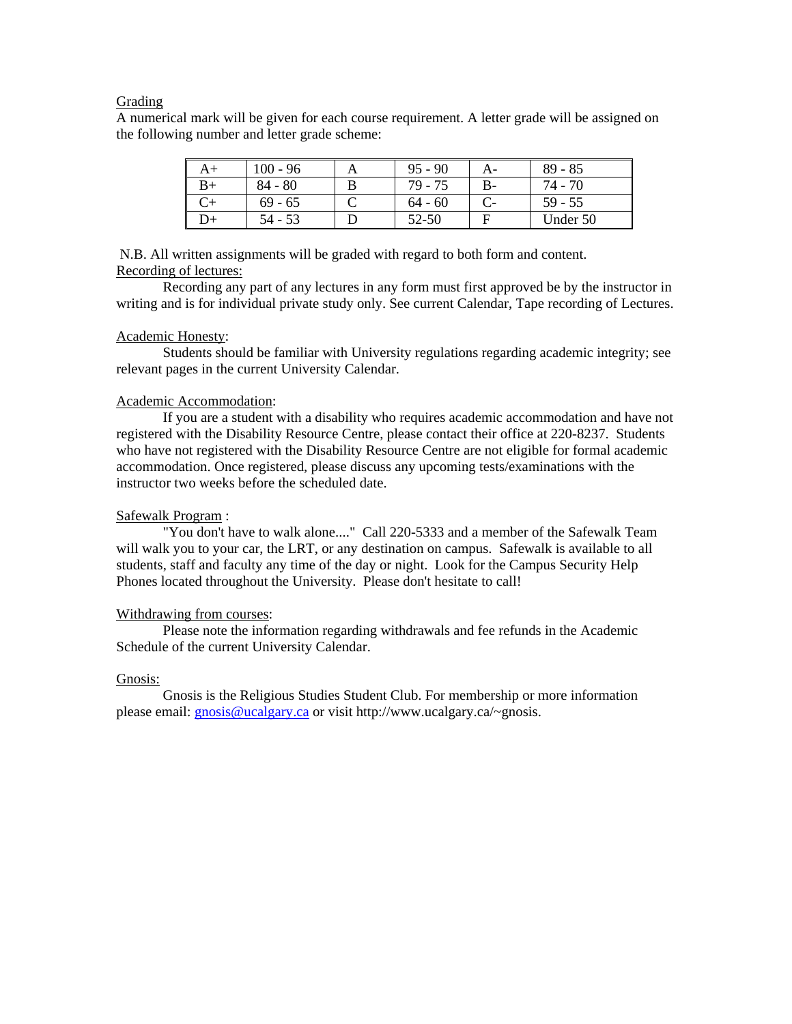## Grading

A numerical mark will be given for each course requirement. A letter grade will be assigned on the following number and letter grade scheme:

| $100 - 96$ | $95 - 90$ | A- | $89 - 85$ |
|------------|-----------|----|-----------|
| $84 - 80$  | 79 - 75   | B- | 74 - 70   |
| $69 - 65$  | $64 - 60$ |    | 59 - 55   |
| $54 - 53$  | 52-50     |    | Under 50  |

 N.B. All written assignments will be graded with regard to both form and content. Recording of lectures:

 Recording any part of any lectures in any form must first approved be by the instructor in writing and is for individual private study only. See current Calendar, Tape recording of Lectures.

### Academic Honesty:

 Students should be familiar with University regulations regarding academic integrity; see relevant pages in the current University Calendar.

## Academic Accommodation:

 If you are a student with a disability who requires academic accommodation and have not registered with the Disability Resource Centre, please contact their office at 220-8237. Students who have not registered with the Disability Resource Centre are not eligible for formal academic accommodation. Once registered, please discuss any upcoming tests/examinations with the instructor two weeks before the scheduled date.

# Safewalk Program :

 "You don't have to walk alone...." Call 220-5333 and a member of the Safewalk Team will walk you to your car, the LRT, or any destination on campus. Safewalk is available to all students, staff and faculty any time of the day or night. Look for the Campus Security Help Phones located throughout the University. Please don't hesitate to call!

### Withdrawing from courses:

 Please note the information regarding withdrawals and fee refunds in the Academic Schedule of the current University Calendar.

#### Gnosis:

Gnosis is the Religious Studies Student Club. For membership or more information please email: [gnosis@ucalgary.ca](mailto:gnosis@ucalgary.ca) or visit http://www.ucalgary.ca/~gnosis.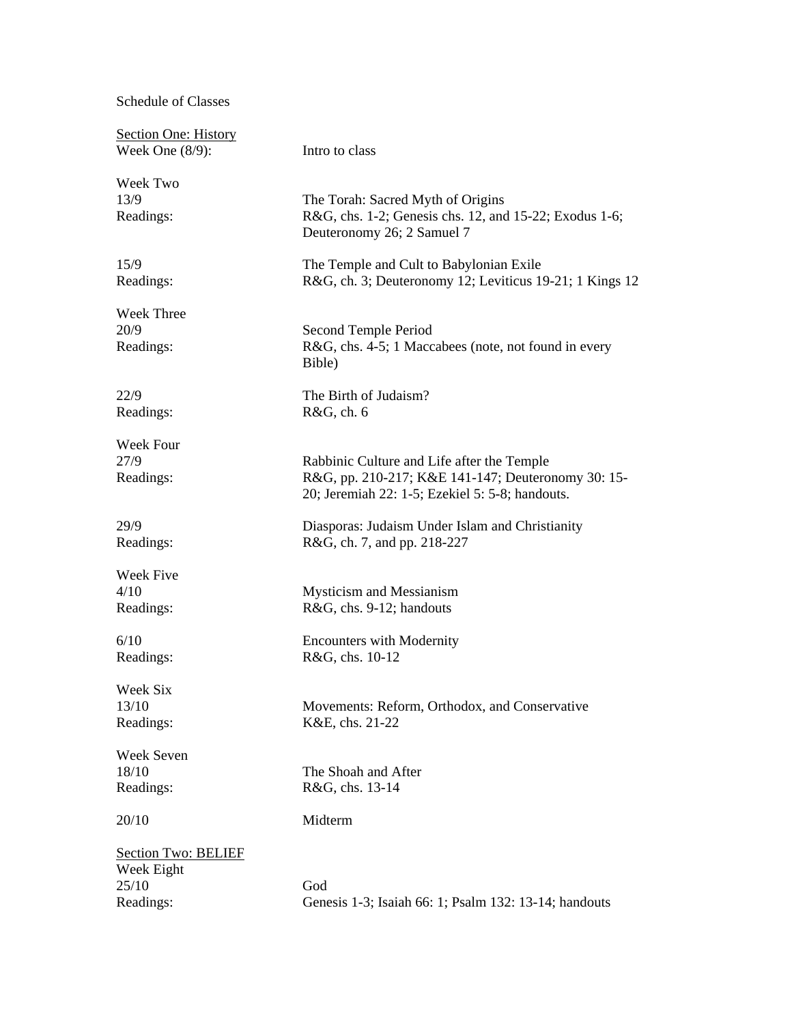Schedule of Classes

| <b>Section One: History</b> |                                                                                                       |
|-----------------------------|-------------------------------------------------------------------------------------------------------|
| Week One $(8/9)$ :          | Intro to class                                                                                        |
| Week Two                    |                                                                                                       |
| 13/9                        | The Torah: Sacred Myth of Origins                                                                     |
| Readings:                   | R&G, chs. 1-2; Genesis chs. 12, and 15-22; Exodus 1-6;<br>Deuteronomy 26; 2 Samuel 7                  |
| 15/9                        | The Temple and Cult to Babylonian Exile                                                               |
| Readings:                   | R&G, ch. 3; Deuteronomy 12; Leviticus 19-21; 1 Kings 12                                               |
| Week Three                  |                                                                                                       |
| 20/9                        | Second Temple Period                                                                                  |
| Readings:                   | R&G, chs. 4-5; 1 Maccabees (note, not found in every<br>Bible)                                        |
| 22/9                        | The Birth of Judaism?                                                                                 |
| Readings:                   | R&G, ch. 6                                                                                            |
| Week Four                   |                                                                                                       |
| 27/9                        | Rabbinic Culture and Life after the Temple                                                            |
| Readings:                   | R&G, pp. 210-217; K&E 141-147; Deuteronomy 30: 15-<br>20; Jeremiah 22: 1-5; Ezekiel 5: 5-8; handouts. |
| 29/9                        | Diasporas: Judaism Under Islam and Christianity                                                       |
| Readings:                   | R&G, ch. 7, and pp. 218-227                                                                           |
| Week Five                   |                                                                                                       |
| 4/10                        | <b>Mysticism and Messianism</b>                                                                       |
| Readings:                   | R&G, chs. 9-12; handouts                                                                              |
| 6/10                        | <b>Encounters with Modernity</b>                                                                      |
| Readings:                   | R&G, chs. 10-12                                                                                       |
| Week Six                    |                                                                                                       |
| 13/10                       | Movements: Reform, Orthodox, and Conservative                                                         |
| Readings:                   | K&E, chs. 21-22                                                                                       |
| Week Seven                  |                                                                                                       |
| 18/10                       | The Shoah and After                                                                                   |
| Readings:                   | R&G, chs. 13-14                                                                                       |
| 20/10                       | Midterm                                                                                               |
| <b>Section Two: BELIEF</b>  |                                                                                                       |
| Week Eight                  |                                                                                                       |
| 25/10                       | God                                                                                                   |
| Readings:                   | Genesis 1-3; Isaiah 66: 1; Psalm 132: 13-14; handouts                                                 |